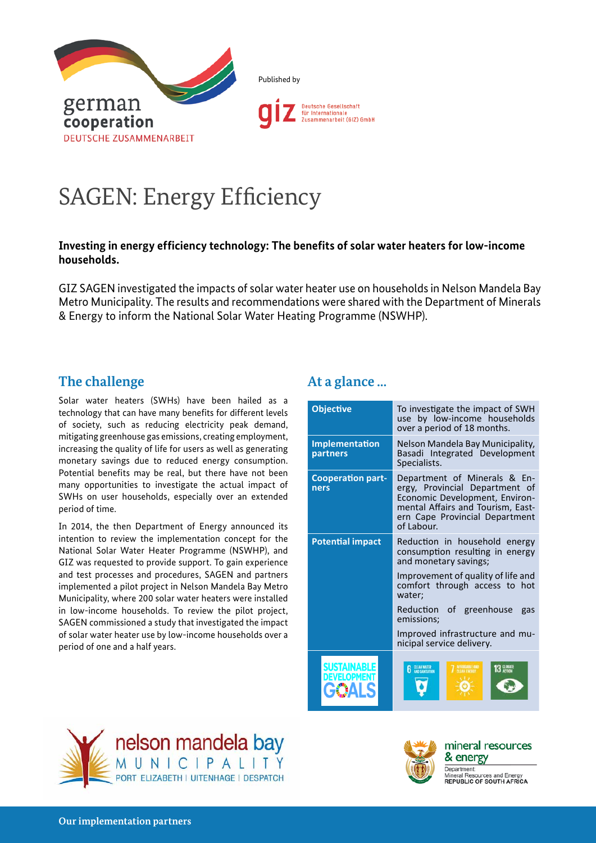

Published by



# SAGEN: Energy Efficiency

# **Investing in energy efficiency technology: The benefits of solar water heaters for low-income households.**

GIZ SAGEN investigated the impacts of solar water heater use on households in Nelson Mandela Bay Metro Municipality. The results and recommendations were shared with the Department of Minerals & Energy to inform the National Solar Water Heating Programme (NSWHP).

# **The challenge**

Solar water heaters (SWHs) have been hailed as a technology that can have many benefits for different levels of society, such as reducing electricity peak demand, mitigating greenhouse gas emissions, creating employment, increasing the quality of life for users as well as generating monetary savings due to reduced energy consumption. Potential benefits may be real, but there have not been many opportunities to investigate the actual impact of SWHs on user households, especially over an extended period of time.

In 2014, the then Department of Energy announced its intention to review the implementation concept for the National Solar Water Heater Programme (NSWHP), and GIZ was requested to provide support. To gain experience and test processes and procedures, SAGEN and partners implemented a pilot project in Nelson Mandela Bay Metro Municipality, where 200 solar water heaters were installed in low-income households. To review the pilot project, SAGEN commissioned a study that investigated the impact of solar water heater use by low-income households over a period of one and a half years.

# **At a glance ...**

| <b>Objective</b>                  | To investigate the impact of SWH<br>use by low-income households<br>over a period of 18 months.                                                                                       |
|-----------------------------------|---------------------------------------------------------------------------------------------------------------------------------------------------------------------------------------|
| Implementation<br>partners        | Nelson Mandela Bay Municipality,<br>Basadi Integrated Development<br>Specialists.                                                                                                     |
| <b>Cooperation part-</b><br>ners  | Department of Minerals & En-<br>ergy, Provincial Department of<br>Economic Development, Environ-<br>mental Affairs and Tourism, East-<br>ern Cape Provincial Department<br>of Labour. |
| <b>Potential impact</b>           | Reduction in household energy<br>consumption resulting in energy<br>and monetary savings;                                                                                             |
|                                   | Improvement of quality of life and<br>comfort through access to hot<br>water:                                                                                                         |
|                                   | Reduction of greenhouse<br>gas<br>emissions;                                                                                                                                          |
|                                   | Improved infrastructure and mu-<br>nicipal service delivery.                                                                                                                          |
| <b>SUSTAINABLE</b><br>DEVELOPMENT | <b>ANTI CANTELLINE</b>                                                                                                                                                                |





mineral resources & energy Department<sup>®</sup>

irces and Ener Mineral Resources and Energy<br>REPUBLIC OF SOUTH AFRICA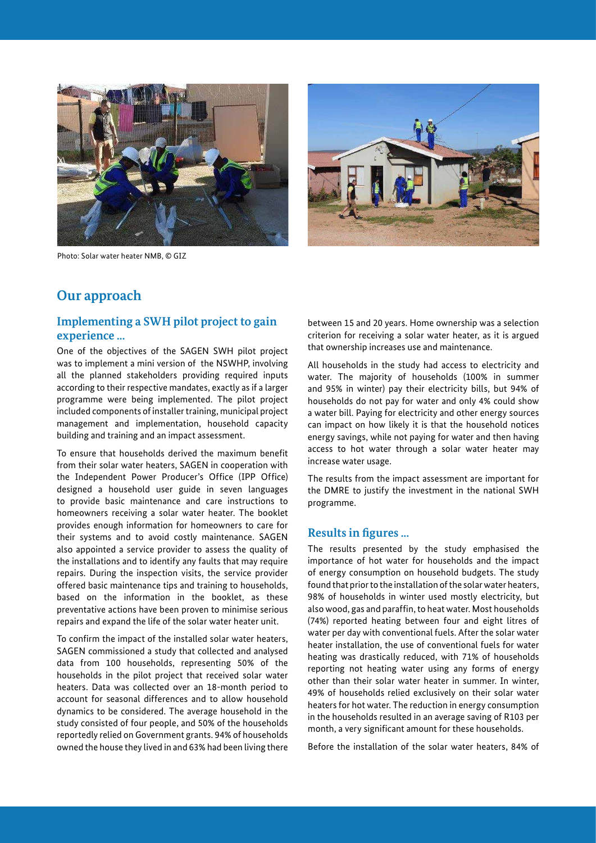

Photo: Solar water heater NMB, © GIZ



# **Our approach**

## **Implementing a SWH pilot project to gain experience ...**

One of the objectives of the SAGEN SWH pilot project was to implement a mini version of the NSWHP, involving all the planned stakeholders providing required inputs according to their respective mandates, exactly as if a larger programme were being implemented. The pilot project included components of installer training, municipal project management and implementation, household capacity building and training and an impact assessment.

To ensure that households derived the maximum benefit from their solar water heaters, SAGEN in cooperation with the Independent Power Producer's Office (IPP Office) designed a household user guide in seven languages to provide basic maintenance and care instructions to homeowners receiving a solar water heater. The booklet provides enough information for homeowners to care for their systems and to avoid costly maintenance. SAGEN also appointed a service provider to assess the quality of the installations and to identify any faults that may require repairs. During the inspection visits, the service provider offered basic maintenance tips and training to households, based on the information in the booklet, as these preventative actions have been proven to minimise serious repairs and expand the life of the solar water heater unit.

To confirm the impact of the installed solar water heaters, SAGEN commissioned a study that collected and analysed data from 100 households, representing 50% of the households in the pilot project that received solar water heaters. Data was collected over an 18-month period to account for seasonal differences and to allow household dynamics to be considered. The average household in the study consisted of four people, and 50% of the households reportedly relied on Government grants. 94% of households owned the house they lived in and 63% had been living there between 15 and 20 years. Home ownership was a selection criterion for receiving a solar water heater, as it is argued that ownership increases use and maintenance.

All households in the study had access to electricity and water. The majority of households (100% in summer and 95% in winter) pay their electricity bills, but 94% of households do not pay for water and only 4% could show a water bill. Paying for electricity and other energy sources can impact on how likely it is that the household notices energy savings, while not paying for water and then having access to hot water through a solar water heater may increase water usage.

The results from the impact assessment are important for the DMRE to justify the investment in the national SWH programme.

#### **Results in figures ...**

The results presented by the study emphasised the importance of hot water for households and the impact of energy consumption on household budgets. The study found that prior to the installation of the solar water heaters, 98% of households in winter used mostly electricity, but also wood, gas and paraffin, to heat water. Most households (74%) reported heating between four and eight litres of water per day with conventional fuels. After the solar water heater installation, the use of conventional fuels for water heating was drastically reduced, with 71% of households reporting not heating water using any forms of energy other than their solar water heater in summer. In winter, 49% of households relied exclusively on their solar water heaters for hot water. The reduction in energy consumption in the households resulted in an average saving of R103 per month, a very significant amount for these households.

Before the installation of the solar water heaters, 84% of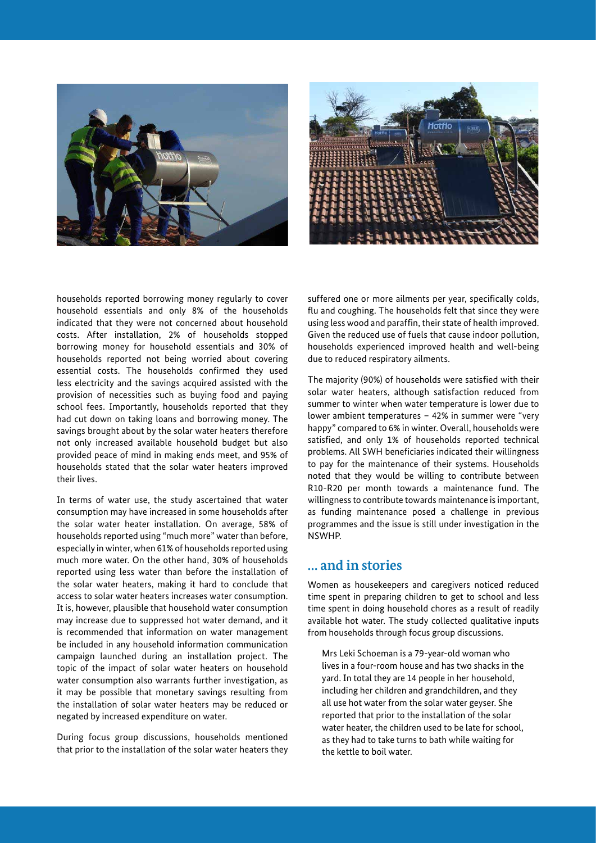



households reported borrowing money regularly to cover household essentials and only 8% of the households indicated that they were not concerned about household costs. After installation, 2% of households stopped borrowing money for household essentials and 30% of households reported not being worried about covering essential costs. The households confirmed they used less electricity and the savings acquired assisted with the provision of necessities such as buying food and paying school fees. Importantly, households reported that they had cut down on taking loans and borrowing money. The savings brought about by the solar water heaters therefore not only increased available household budget but also provided peace of mind in making ends meet, and 95% of households stated that the solar water heaters improved their lives.

In terms of water use, the study ascertained that water consumption may have increased in some households after the solar water heater installation. On average, 58% of households reported using "much more" water than before, especially in winter, when 61% of households reported using much more water. On the other hand, 30% of households reported using less water than before the installation of the solar water heaters, making it hard to conclude that access to solar water heaters increases water consumption. It is, however, plausible that household water consumption may increase due to suppressed hot water demand, and it is recommended that information on water management be included in any household information communication campaign launched during an installation project. The topic of the impact of solar water heaters on household water consumption also warrants further investigation, as it may be possible that monetary savings resulting from the installation of solar water heaters may be reduced or negated by increased expenditure on water.

During focus group discussions, households mentioned that prior to the installation of the solar water heaters they

suffered one or more ailments per year, specifically colds, flu and coughing. The households felt that since they were using less wood and paraffin, their state of health improved. Given the reduced use of fuels that cause indoor pollution, households experienced improved health and well-being due to reduced respiratory ailments.

The majority (90%) of households were satisfied with their solar water heaters, although satisfaction reduced from summer to winter when water temperature is lower due to lower ambient temperatures – 42% in summer were "very happy" compared to 6% in winter. Overall, households were satisfied, and only 1% of households reported technical problems. All SWH beneficiaries indicated their willingness to pay for the maintenance of their systems. Households noted that they would be willing to contribute between R10-R20 per month towards a maintenance fund. The willingness to contribute towards maintenance is important, as funding maintenance posed a challenge in previous programmes and the issue is still under investigation in the NSWHP.

## **… and in stories**

Women as housekeepers and caregivers noticed reduced time spent in preparing children to get to school and less time spent in doing household chores as a result of readily available hot water. The study collected qualitative inputs from households through focus group discussions.

Mrs Leki Schoeman is a 79-year-old woman who lives in a four-room house and has two shacks in the yard. In total they are 14 people in her household, including her children and grandchildren, and they all use hot water from the solar water geyser. She reported that prior to the installation of the solar water heater, the children used to be late for school, as they had to take turns to bath while waiting for the kettle to boil water.